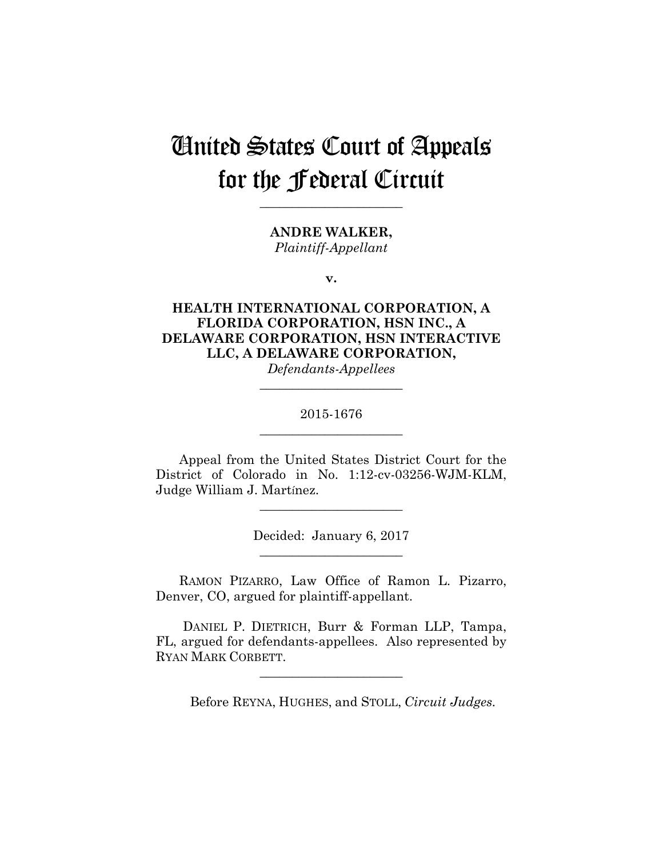# United States Court of Appeals for the Federal Circuit

**\_\_\_\_\_\_\_\_\_\_\_\_\_\_\_\_\_\_\_\_\_\_** 

**ANDRE WALKER,** *Plaintiff-Appellant*

**v.**

# **HEALTH INTERNATIONAL CORPORATION, A FLORIDA CORPORATION, HSN INC., A DELAWARE CORPORATION, HSN INTERACTIVE LLC, A DELAWARE CORPORATION,**

*Defendants-Appellees* **\_\_\_\_\_\_\_\_\_\_\_\_\_\_\_\_\_\_\_\_\_\_** 

## 2015-1676 **\_\_\_\_\_\_\_\_\_\_\_\_\_\_\_\_\_\_\_\_\_\_**

Appeal from the United States District Court for the District of Colorado in No. 1:12-cv-03256-WJM-KLM, Judge William J. Martínez.

**\_\_\_\_\_\_\_\_\_\_\_\_\_\_\_\_\_\_\_\_\_\_** 

Decided: January 6, 2017

**\_\_\_\_\_\_\_\_\_\_\_\_\_\_\_\_\_\_\_\_\_\_** 

RAMON PIZARRO, Law Office of Ramon L. Pizarro, Denver, CO, argued for plaintiff-appellant.

 DANIEL P. DIETRICH, Burr & Forman LLP, Tampa, FL, argued for defendants-appellees. Also represented by RYAN MARK CORBETT.

**\_\_\_\_\_\_\_\_\_\_\_\_\_\_\_\_\_\_\_\_\_\_** 

Before REYNA, HUGHES, and STOLL, *Circuit Judges.*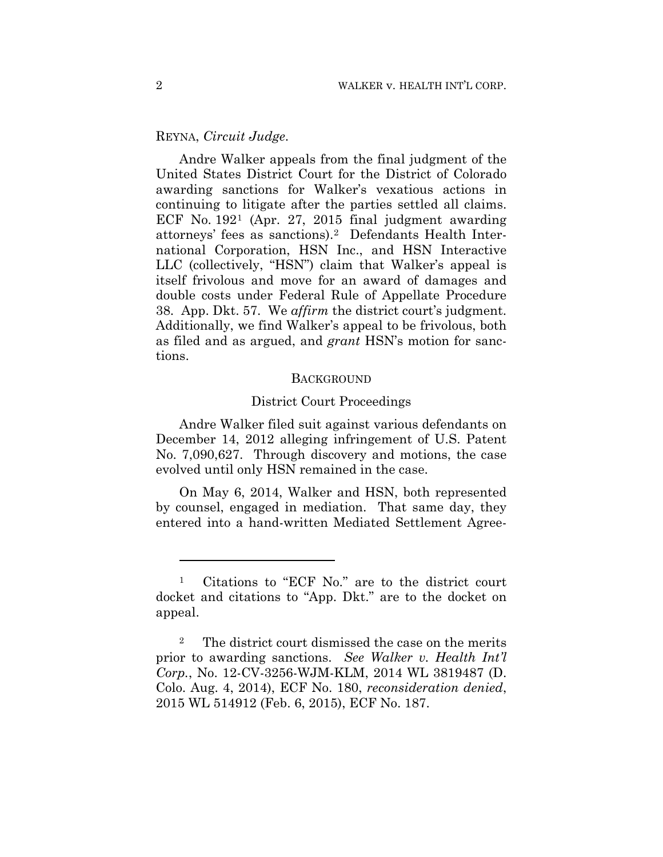## REYNA, *Circuit Judge*.

Andre Walker appeals from the final judgment of the United States District Court for the District of Colorado awarding sanctions for Walker's vexatious actions in continuing to litigate after the parties settled all claims. ECF No. 1921 (Apr. 27, 2015 final judgment awarding attorneys' fees as sanctions).2 Defendants Health International Corporation, HSN Inc., and HSN Interactive LLC (collectively, "HSN") claim that Walker's appeal is itself frivolous and move for an award of damages and double costs under Federal Rule of Appellate Procedure 38. App. Dkt. 57. We *affirm* the district court's judgment. Additionally, we find Walker's appeal to be frivolous, both as filed and as argued, and *grant* HSN's motion for sanctions.

#### **BACKGROUND**

#### District Court Proceedings

Andre Walker filed suit against various defendants on December 14, 2012 alleging infringement of U.S. Patent No. 7,090,627. Through discovery and motions, the case evolved until only HSN remained in the case.

On May 6, 2014, Walker and HSN, both represented by counsel, engaged in mediation. That same day, they entered into a hand-written Mediated Settlement Agree-

<u>.</u>

<sup>1</sup> Citations to "ECF No." are to the district court docket and citations to "App. Dkt." are to the docket on appeal.

<sup>&</sup>lt;sup>2</sup> The district court dismissed the case on the merits prior to awarding sanctions. *See Walker v. Health Int'l Corp.*, No. 12-CV-3256-WJM-KLM, 2014 WL 3819487 (D. Colo. Aug. 4, 2014), ECF No. 180, *reconsideration denied*, 2015 WL 514912 (Feb. 6, 2015), ECF No. 187.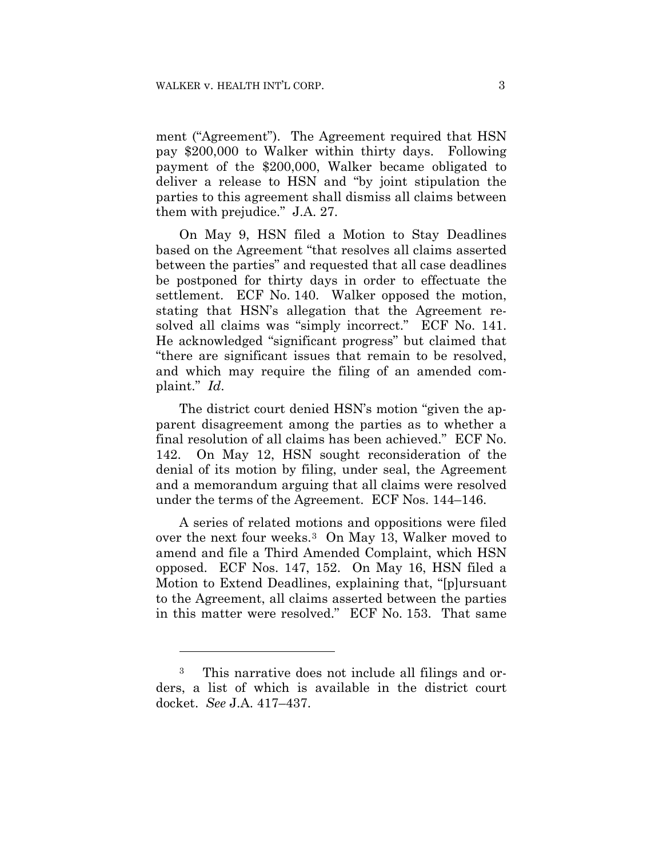ment ("Agreement"). The Agreement required that HSN pay \$200,000 to Walker within thirty days. Following payment of the \$200,000, Walker became obligated to deliver a release to HSN and "by joint stipulation the parties to this agreement shall dismiss all claims between them with prejudice." J.A. 27.

On May 9, HSN filed a Motion to Stay Deadlines based on the Agreement "that resolves all claims asserted between the parties" and requested that all case deadlines be postponed for thirty days in order to effectuate the settlement. ECF No. 140. Walker opposed the motion, stating that HSN's allegation that the Agreement resolved all claims was "simply incorrect." ECF No. 141. He acknowledged "significant progress" but claimed that "there are significant issues that remain to be resolved, and which may require the filing of an amended complaint." *Id*.

The district court denied HSN's motion "given the apparent disagreement among the parties as to whether a final resolution of all claims has been achieved." ECF No. 142. On May 12, HSN sought reconsideration of the denial of its motion by filing, under seal, the Agreement and a memorandum arguing that all claims were resolved under the terms of the Agreement. ECF Nos. 144–146.

A series of related motions and oppositions were filed over the next four weeks.3 On May 13, Walker moved to amend and file a Third Amended Complaint, which HSN opposed. ECF Nos. 147, 152. On May 16, HSN filed a Motion to Extend Deadlines, explaining that, "[p]ursuant to the Agreement, all claims asserted between the parties in this matter were resolved." ECF No. 153. That same

<u>.</u>

<sup>3</sup> This narrative does not include all filings and orders, a list of which is available in the district court docket. *See* J.A. 417–437.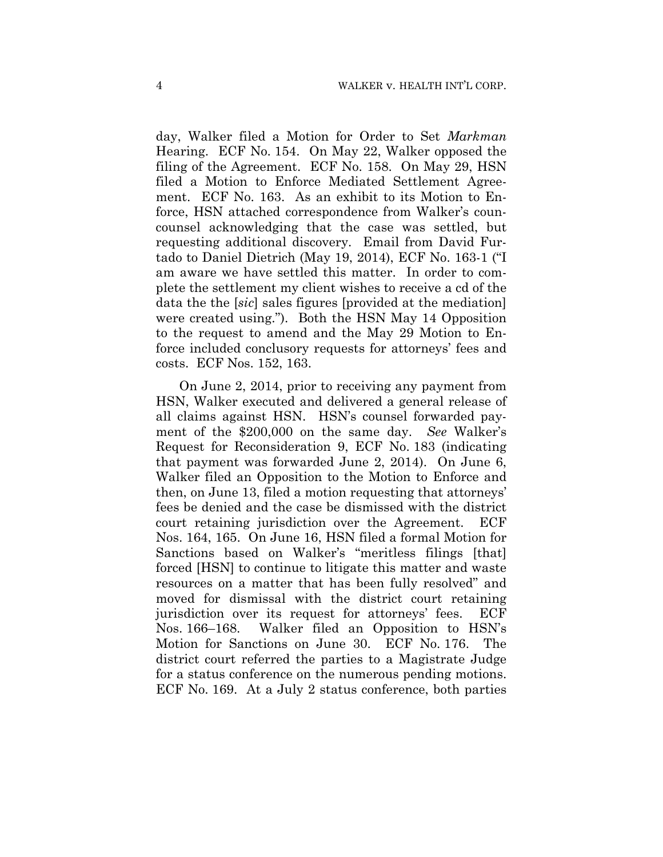day, Walker filed a Motion for Order to Set *Markman* Hearing. ECF No. 154. On May 22, Walker opposed the filing of the Agreement. ECF No. 158. On May 29, HSN filed a Motion to Enforce Mediated Settlement Agreement. ECF No. 163. As an exhibit to its Motion to Enforce, HSN attached correspondence from Walker's councounsel acknowledging that the case was settled, but requesting additional discovery. Email from David Furtado to Daniel Dietrich (May 19, 2014), ECF No. 163-1 ("I am aware we have settled this matter. In order to complete the settlement my client wishes to receive a cd of the data the the [*sic*] sales figures [provided at the mediation] were created using."). Both the HSN May 14 Opposition to the request to amend and the May 29 Motion to Enforce included conclusory requests for attorneys' fees and costs. ECF Nos. 152, 163.

On June 2, 2014, prior to receiving any payment from HSN, Walker executed and delivered a general release of all claims against HSN. HSN's counsel forwarded payment of the \$200,000 on the same day. *See* Walker's Request for Reconsideration 9, ECF No. 183 (indicating that payment was forwarded June 2, 2014). On June 6, Walker filed an Opposition to the Motion to Enforce and then, on June 13, filed a motion requesting that attorneys' fees be denied and the case be dismissed with the district court retaining jurisdiction over the Agreement. ECF Nos. 164, 165. On June 16, HSN filed a formal Motion for Sanctions based on Walker's "meritless filings [that] forced [HSN] to continue to litigate this matter and waste resources on a matter that has been fully resolved" and moved for dismissal with the district court retaining jurisdiction over its request for attorneys' fees. ECF Nos. 166–168. Walker filed an Opposition to HSN's Motion for Sanctions on June 30. ECF No. 176. The district court referred the parties to a Magistrate Judge for a status conference on the numerous pending motions. ECF No. 169. At a July 2 status conference, both parties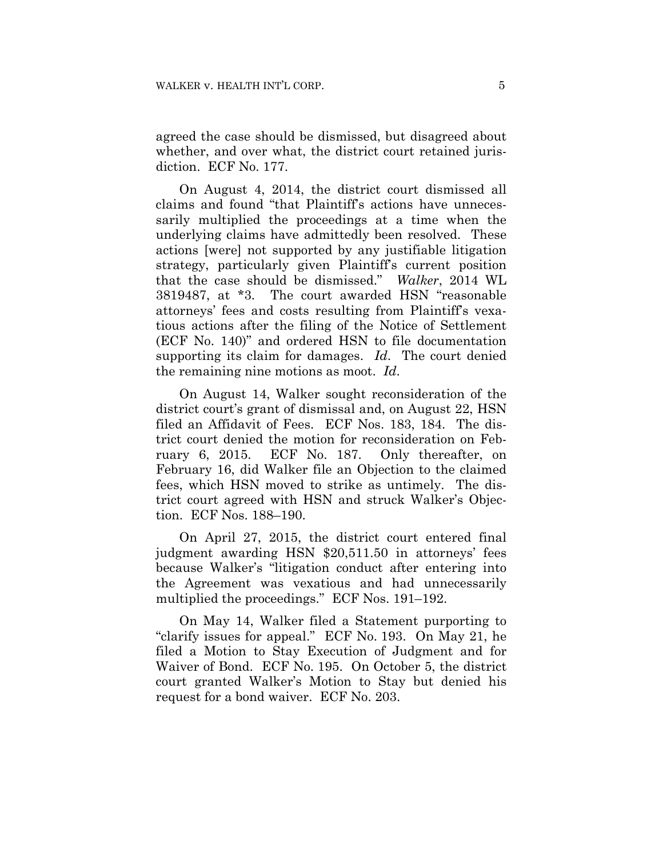agreed the case should be dismissed, but disagreed about whether, and over what, the district court retained jurisdiction. ECF No. 177.

On August 4, 2014, the district court dismissed all claims and found "that Plaintiff's actions have unnecessarily multiplied the proceedings at a time when the underlying claims have admittedly been resolved. These actions [were] not supported by any justifiable litigation strategy, particularly given Plaintiff's current position that the case should be dismissed." *Walker*, 2014 WL 3819487, at \*3. The court awarded HSN "reasonable attorneys' fees and costs resulting from Plaintiff's vexatious actions after the filing of the Notice of Settlement (ECF No. 140)" and ordered HSN to file documentation supporting its claim for damages. *Id*. The court denied the remaining nine motions as moot. *Id*.

On August 14, Walker sought reconsideration of the district court's grant of dismissal and, on August 22, HSN filed an Affidavit of Fees. ECF Nos. 183, 184. The district court denied the motion for reconsideration on February 6, 2015. ECF No. 187. Only thereafter, on February 16, did Walker file an Objection to the claimed fees, which HSN moved to strike as untimely. The district court agreed with HSN and struck Walker's Objection. ECF Nos. 188–190.

On April 27, 2015, the district court entered final judgment awarding HSN \$20,511.50 in attorneys' fees because Walker's "litigation conduct after entering into the Agreement was vexatious and had unnecessarily multiplied the proceedings." ECF Nos. 191–192.

On May 14, Walker filed a Statement purporting to "clarify issues for appeal." ECF No. 193. On May 21, he filed a Motion to Stay Execution of Judgment and for Waiver of Bond. ECF No. 195. On October 5, the district court granted Walker's Motion to Stay but denied his request for a bond waiver. ECF No. 203.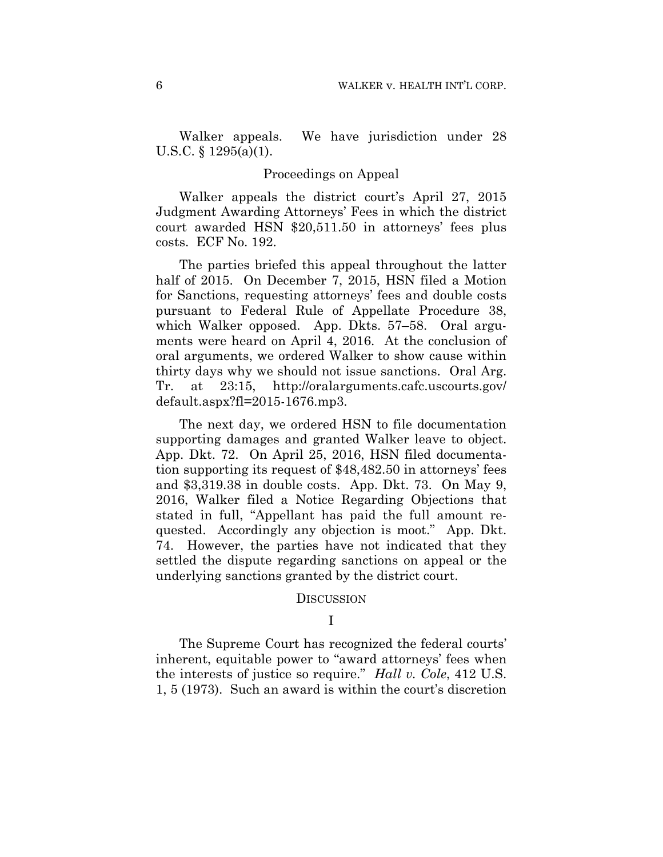Walker appeals. We have jurisdiction under 28 U.S.C. § 1295(a)(1).

#### Proceedings on Appeal

Walker appeals the district court's April 27, 2015 Judgment Awarding Attorneys' Fees in which the district court awarded HSN \$20,511.50 in attorneys' fees plus costs. ECF No. 192.

The parties briefed this appeal throughout the latter half of 2015. On December 7, 2015, HSN filed a Motion for Sanctions, requesting attorneys' fees and double costs pursuant to Federal Rule of Appellate Procedure 38, which Walker opposed. App. Dkts. 57–58. Oral arguments were heard on April 4, 2016. At the conclusion of oral arguments, we ordered Walker to show cause within thirty days why we should not issue sanctions. Oral Arg. Tr. at 23:15, http://oralarguments.cafc.uscourts.gov/ default.aspx?fl=2015-1676.mp3.

The next day, we ordered HSN to file documentation supporting damages and granted Walker leave to object. App. Dkt. 72. On April 25, 2016, HSN filed documentation supporting its request of \$48,482.50 in attorneys' fees and \$3,319.38 in double costs. App. Dkt. 73. On May 9, 2016, Walker filed a Notice Regarding Objections that stated in full, "Appellant has paid the full amount requested. Accordingly any objection is moot." App. Dkt. 74. However, the parties have not indicated that they settled the dispute regarding sanctions on appeal or the underlying sanctions granted by the district court.

#### DISCUSSION

### I

The Supreme Court has recognized the federal courts' inherent, equitable power to "award attorneys' fees when the interests of justice so require." *Hall v. Cole*, 412 U.S. 1, 5 (1973). Such an award is within the court's discretion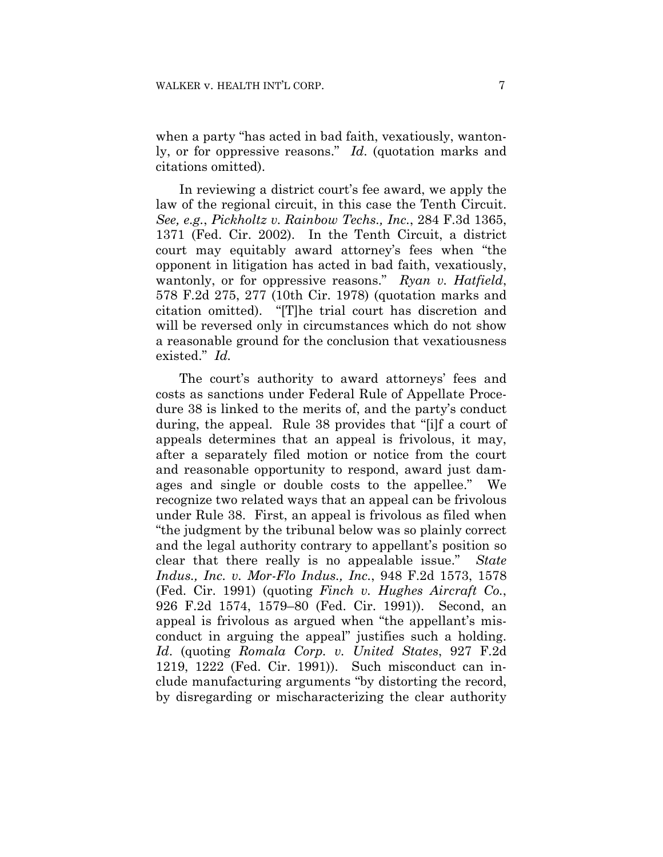when a party "has acted in bad faith, vexatiously, wantonly, or for oppressive reasons." *Id*. (quotation marks and citations omitted).

In reviewing a district court's fee award, we apply the law of the regional circuit, in this case the Tenth Circuit. *See, e.g.*, *Pickholtz v. Rainbow Techs., Inc.*, 284 F.3d 1365, 1371 (Fed. Cir. 2002). In the Tenth Circuit, a district court may equitably award attorney's fees when "the opponent in litigation has acted in bad faith, vexatiously, wantonly, or for oppressive reasons." *Ryan v. Hatfield*, 578 F.2d 275, 277 (10th Cir. 1978) (quotation marks and citation omitted). "[T]he trial court has discretion and will be reversed only in circumstances which do not show a reasonable ground for the conclusion that vexatiousness existed." *Id.*

The court's authority to award attorneys' fees and costs as sanctions under Federal Rule of Appellate Procedure 38 is linked to the merits of, and the party's conduct during, the appeal. Rule 38 provides that "[i]f a court of appeals determines that an appeal is frivolous, it may, after a separately filed motion or notice from the court and reasonable opportunity to respond, award just damages and single or double costs to the appellee." We recognize two related ways that an appeal can be frivolous under Rule 38. First, an appeal is frivolous as filed when "the judgment by the tribunal below was so plainly correct and the legal authority contrary to appellant's position so clear that there really is no appealable issue." *State Indus., Inc. v. Mor-Flo Indus., Inc.*, 948 F.2d 1573, 1578 (Fed. Cir. 1991) (quoting *Finch v. Hughes Aircraft Co.*, 926 F.2d 1574, 1579–80 (Fed. Cir. 1991)). Second, an appeal is frivolous as argued when "the appellant's misconduct in arguing the appeal" justifies such a holding. *Id*. (quoting *Romala Corp. v. United States*, 927 F.2d 1219, 1222 (Fed. Cir. 1991)). Such misconduct can include manufacturing arguments "by distorting the record, by disregarding or mischaracterizing the clear authority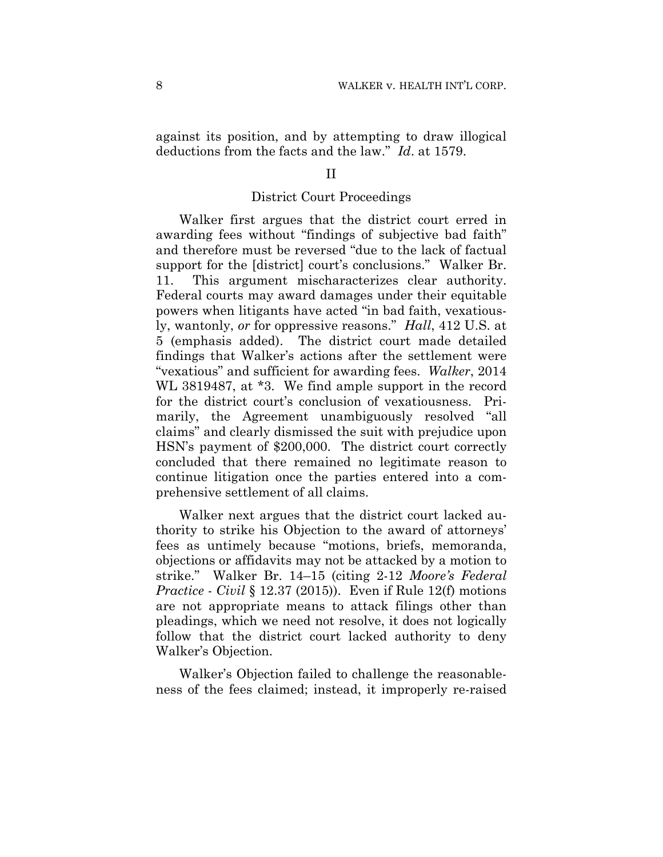against its position, and by attempting to draw illogical deductions from the facts and the law." *Id*. at 1579.

#### II

### District Court Proceedings

Walker first argues that the district court erred in awarding fees without "findings of subjective bad faith" and therefore must be reversed "due to the lack of factual support for the [district] court's conclusions." Walker Br. 11. This argument mischaracterizes clear authority. Federal courts may award damages under their equitable powers when litigants have acted "in bad faith, vexatiously, wantonly, *or* for oppressive reasons." *Hall*, 412 U.S. at 5 (emphasis added). The district court made detailed findings that Walker's actions after the settlement were "vexatious" and sufficient for awarding fees. *Walker*, 2014 WL 3819487, at \*3. We find ample support in the record for the district court's conclusion of vexatiousness. Primarily, the Agreement unambiguously resolved "all claims" and clearly dismissed the suit with prejudice upon HSN's payment of \$200,000. The district court correctly concluded that there remained no legitimate reason to continue litigation once the parties entered into a comprehensive settlement of all claims.

Walker next argues that the district court lacked authority to strike his Objection to the award of attorneys' fees as untimely because "motions, briefs, memoranda, objections or affidavits may not be attacked by a motion to strike." Walker Br. 14–15 (citing 2-12 *Moore's Federal Practice - Civil* § 12.37 (2015)). Even if Rule 12(f) motions are not appropriate means to attack filings other than pleadings, which we need not resolve, it does not logically follow that the district court lacked authority to deny Walker's Objection.

Walker's Objection failed to challenge the reasonableness of the fees claimed; instead, it improperly re-raised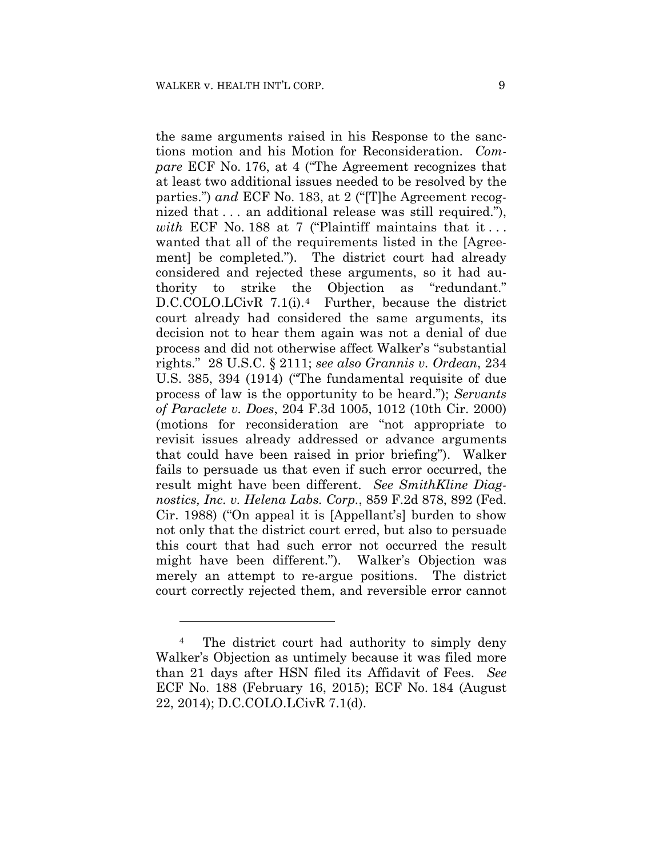the same arguments raised in his Response to the sanctions motion and his Motion for Reconsideration. *Compare* ECF No. 176, at 4 ("The Agreement recognizes that at least two additional issues needed to be resolved by the parties.") *and* ECF No. 183, at 2 ("[T]he Agreement recognized that . . . an additional release was still required."), *with* ECF No. 188 at 7 ("Plaintiff maintains that it . . . wanted that all of the requirements listed in the [Agreement] be completed."). The district court had already considered and rejected these arguments, so it had authority to strike the Objection as "redundant." D.C.COLO.LCivR 7.1(i).<sup>4</sup> Further, because the district court already had considered the same arguments, its decision not to hear them again was not a denial of due process and did not otherwise affect Walker's "substantial rights." 28 U.S.C. § 2111; *see also Grannis v. Ordean*, 234 U.S. 385, 394 (1914) ("The fundamental requisite of due process of law is the opportunity to be heard."); *Servants of Paraclete v. Does*, 204 F.3d 1005, 1012 (10th Cir. 2000) (motions for reconsideration are "not appropriate to revisit issues already addressed or advance arguments that could have been raised in prior briefing"). Walker fails to persuade us that even if such error occurred, the result might have been different. *See SmithKline Diagnostics, Inc. v. Helena Labs. Corp.*, 859 F.2d 878, 892 (Fed. Cir. 1988) ("On appeal it is [Appellant's] burden to show not only that the district court erred, but also to persuade this court that had such error not occurred the result might have been different."). Walker's Objection was merely an attempt to re-argue positions. The district court correctly rejected them, and reversible error cannot

1

<sup>&</sup>lt;sup>4</sup> The district court had authority to simply deny Walker's Objection as untimely because it was filed more than 21 days after HSN filed its Affidavit of Fees. *See*  ECF No. 188 (February 16, 2015); ECF No. 184 (August 22, 2014); D.C.COLO.LCivR 7.1(d).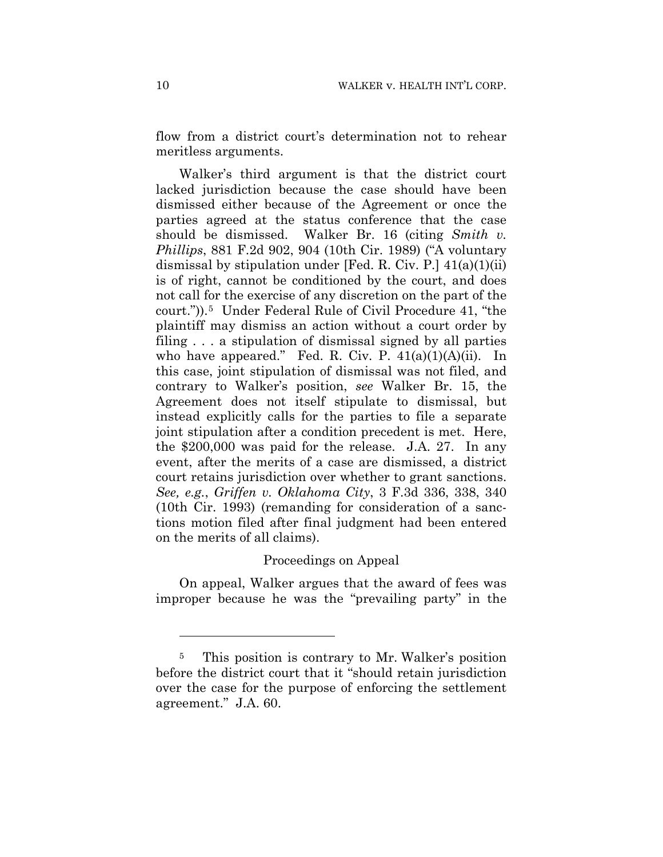flow from a district court's determination not to rehear meritless arguments.

Walker's third argument is that the district court lacked jurisdiction because the case should have been dismissed either because of the Agreement or once the parties agreed at the status conference that the case should be dismissed. Walker Br. 16 (citing *Smith v. Phillips*, 881 F.2d 902, 904 (10th Cir. 1989) ("A voluntary dismissal by stipulation under [Fed. R. Civ. P.] 41(a)(1)(ii) is of right, cannot be conditioned by the court, and does not call for the exercise of any discretion on the part of the court.")).5 Under Federal Rule of Civil Procedure 41, "the plaintiff may dismiss an action without a court order by filing . . . a stipulation of dismissal signed by all parties who have appeared." Fed. R. Civ. P.  $41(a)(1)(A)(ii)$ . In this case, joint stipulation of dismissal was not filed, and contrary to Walker's position, *see* Walker Br. 15, the Agreement does not itself stipulate to dismissal, but instead explicitly calls for the parties to file a separate joint stipulation after a condition precedent is met. Here, the \$200,000 was paid for the release. J.A. 27. In any event, after the merits of a case are dismissed, a district court retains jurisdiction over whether to grant sanctions. *See, e.g.*, *Griffen v. Oklahoma City*, 3 F.3d 336, 338, 340 (10th Cir. 1993) (remanding for consideration of a sanctions motion filed after final judgment had been entered on the merits of all claims).

#### Proceedings on Appeal

On appeal, Walker argues that the award of fees was improper because he was the "prevailing party" in the

<u>.</u>

<sup>5</sup> This position is contrary to Mr. Walker's position before the district court that it "should retain jurisdiction over the case for the purpose of enforcing the settlement agreement." J.A. 60.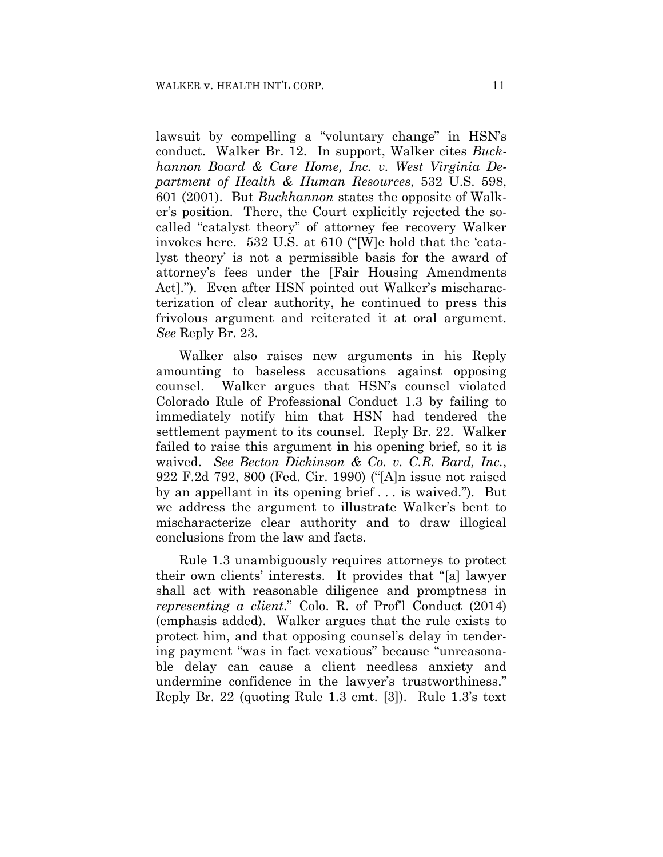lawsuit by compelling a "voluntary change" in HSN's conduct. Walker Br. 12. In support, Walker cites *Buckhannon Board & Care Home, Inc. v. West Virginia Department of Health & Human Resources*, 532 U.S. 598, 601 (2001). But *Buckhannon* states the opposite of Walker's position. There, the Court explicitly rejected the socalled "catalyst theory" of attorney fee recovery Walker invokes here. 532 U.S. at 610 ("[W]e hold that the 'catalyst theory' is not a permissible basis for the award of attorney's fees under the [Fair Housing Amendments Act]."). Even after HSN pointed out Walker's mischaracterization of clear authority, he continued to press this frivolous argument and reiterated it at oral argument. *See* Reply Br. 23.

Walker also raises new arguments in his Reply amounting to baseless accusations against opposing counsel. Walker argues that HSN's counsel violated Colorado Rule of Professional Conduct 1.3 by failing to immediately notify him that HSN had tendered the settlement payment to its counsel. Reply Br. 22. Walker failed to raise this argument in his opening brief, so it is waived. *See Becton Dickinson & Co. v. C.R. Bard, Inc.*, 922 F.2d 792, 800 (Fed. Cir. 1990) ("[A]n issue not raised by an appellant in its opening brief . . . is waived."). But we address the argument to illustrate Walker's bent to mischaracterize clear authority and to draw illogical conclusions from the law and facts.

Rule 1.3 unambiguously requires attorneys to protect their own clients' interests. It provides that "[a] lawyer shall act with reasonable diligence and promptness in *representing a client*." Colo. R. of Prof'l Conduct (2014) (emphasis added). Walker argues that the rule exists to protect him, and that opposing counsel's delay in tendering payment "was in fact vexatious" because "unreasonable delay can cause a client needless anxiety and undermine confidence in the lawyer's trustworthiness." Reply Br. 22 (quoting Rule 1.3 cmt. [3]). Rule 1.3's text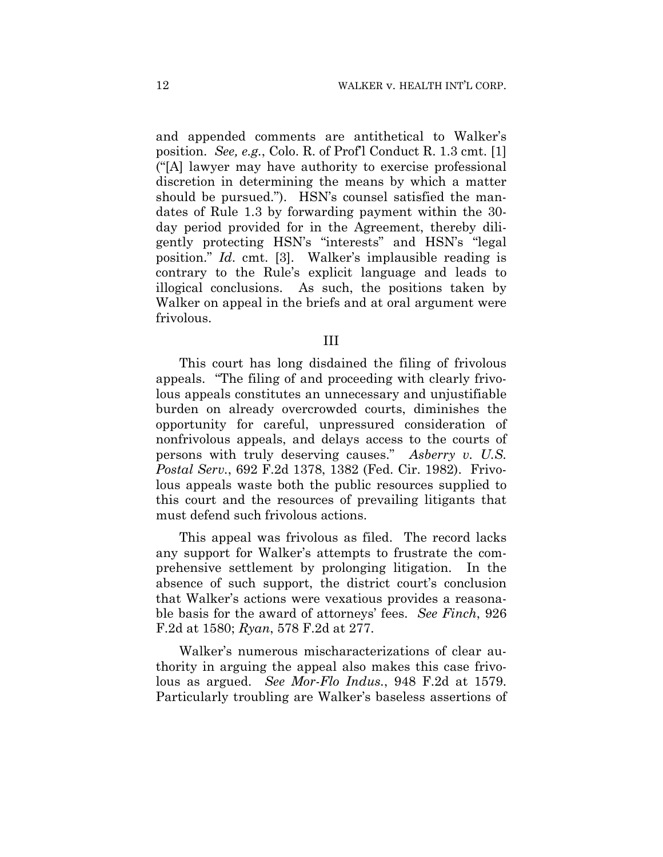and appended comments are antithetical to Walker's position. *See, e.g.*, Colo. R. of Prof'l Conduct R. 1.3 cmt. [1] ("[A] lawyer may have authority to exercise professional discretion in determining the means by which a matter should be pursued."). HSN's counsel satisfied the mandates of Rule 1.3 by forwarding payment within the 30 day period provided for in the Agreement, thereby diligently protecting HSN's "interests" and HSN's "legal position." *Id*. cmt. [3]. Walker's implausible reading is contrary to the Rule's explicit language and leads to illogical conclusions. As such, the positions taken by Walker on appeal in the briefs and at oral argument were frivolous.

#### III

This court has long disdained the filing of frivolous appeals. "The filing of and proceeding with clearly frivolous appeals constitutes an unnecessary and unjustifiable burden on already overcrowded courts, diminishes the opportunity for careful, unpressured consideration of nonfrivolous appeals, and delays access to the courts of persons with truly deserving causes." *Asberry v. U.S. Postal Serv.*, 692 F.2d 1378, 1382 (Fed. Cir. 1982). Frivolous appeals waste both the public resources supplied to this court and the resources of prevailing litigants that must defend such frivolous actions.

This appeal was frivolous as filed. The record lacks any support for Walker's attempts to frustrate the comprehensive settlement by prolonging litigation. In the absence of such support, the district court's conclusion that Walker's actions were vexatious provides a reasonable basis for the award of attorneys' fees. *See Finch*, 926 F.2d at 1580; *Ryan*, 578 F.2d at 277.

Walker's numerous mischaracterizations of clear authority in arguing the appeal also makes this case frivolous as argued. *See Mor-Flo Indus.*, 948 F.2d at 1579. Particularly troubling are Walker's baseless assertions of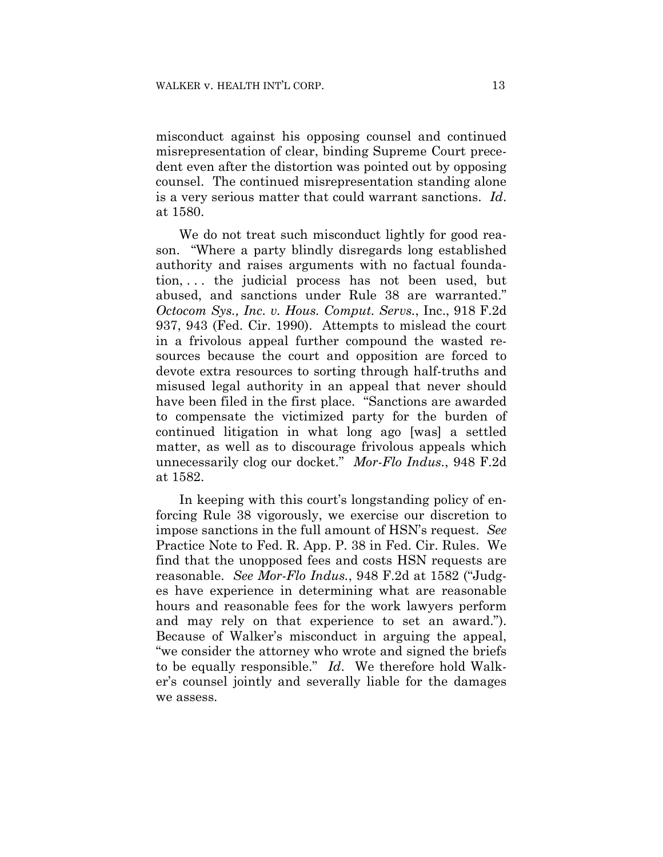misconduct against his opposing counsel and continued misrepresentation of clear, binding Supreme Court precedent even after the distortion was pointed out by opposing counsel. The continued misrepresentation standing alone is a very serious matter that could warrant sanctions. *Id*. at 1580.

We do not treat such misconduct lightly for good reason. "Where a party blindly disregards long established authority and raises arguments with no factual foundation, . . . the judicial process has not been used, but abused, and sanctions under Rule 38 are warranted." *Octocom Sys., Inc. v. Hous. Comput. Servs.*, Inc., 918 F.2d 937, 943 (Fed. Cir. 1990). Attempts to mislead the court in a frivolous appeal further compound the wasted resources because the court and opposition are forced to devote extra resources to sorting through half-truths and misused legal authority in an appeal that never should have been filed in the first place. "Sanctions are awarded to compensate the victimized party for the burden of continued litigation in what long ago [was] a settled matter, as well as to discourage frivolous appeals which unnecessarily clog our docket." *Mor-Flo Indus.*, 948 F.2d at 1582.

In keeping with this court's longstanding policy of enforcing Rule 38 vigorously, we exercise our discretion to impose sanctions in the full amount of HSN's request. *See* Practice Note to Fed. R. App. P. 38 in Fed. Cir. Rules. We find that the unopposed fees and costs HSN requests are reasonable. *See Mor-Flo Indus.*, 948 F.2d at 1582 ("Judges have experience in determining what are reasonable hours and reasonable fees for the work lawyers perform and may rely on that experience to set an award."). Because of Walker's misconduct in arguing the appeal, "we consider the attorney who wrote and signed the briefs to be equally responsible." *Id*. We therefore hold Walker's counsel jointly and severally liable for the damages we assess.